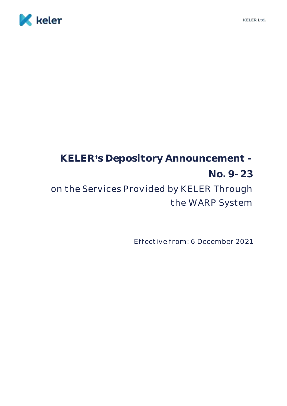

# **KELER s Depository Announcement - No. 9-23** on the Services Provided by KELER Through the WARP System

Effective from: 6 December 2021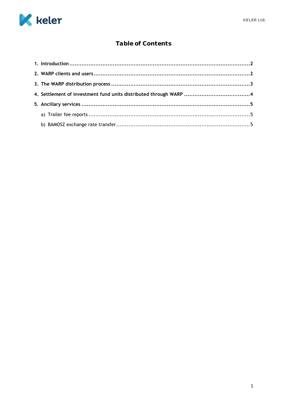

# Table of Contents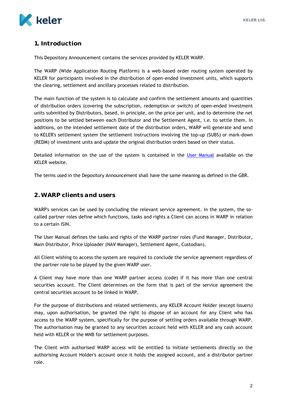

# <span id="page-2-0"></span>**1. Introduction**

This Depository Announcement contains the services provided by KELER WARP.

The WARP (Wide Application Routing Platform) is a web-based order routing system operated by KELER for participants involved in the distribution of open-ended investment units, which supports the clearing, settlement and ancillary processes related to distribution.

The main function of the system is to calculate and confirm the settlement amounts and quantities of distribution orders (covering the subscription, redemption or switch) of open-ended investment units submitted by Distributors, based, in principle, on the price per unit, and to determine the net positions to be settled between each Distributor and the Settlement Agent, i.e. to settle them. In additions, on the intended settlement date of the distribution orders, WARP will generate and send to KELER's settlement system the settlement instructions involving the top-up (SUBS) or mark-down (REDM) of investment units and update the original distribution orders based on their status.

Detailed information on the use of the system is contained in the [User Manual](https://www.keler.hu/Szolg%C3%A1ltat%C3%A1sok/Befektet%C3%A9si%20jegyek%20(WARP)/Felhaszn%C3%A1l%C3%B3i%20K%C3%A9zik%C3%B6nyvek/) available on the KELER website.

The terms used in the Depository Announcement shall have the same meaning as defined in the GBR.

#### <span id="page-2-1"></span>**2. WARP clients and users**

WARP's services can be used by concluding the relevant service agreement. In the system, the socalled partner roles define which functions, tasks and rights a Client can access in WARP in relation to a certain ISIN.

The User Manual defines the tasks and rights of the WARP partner roles (Fund Manager, Distributor, Main Distributor, Price Uploader (NAV Manager), Settlement Agent, Custodian).

All Client wishing to access the system are required to conclude the service agreement regardless of the partner role to be played by the given WARP user.

A Client may have more than one WARP partner access (code) if it has more than one central securities account. The Client determines on the form that is part of the service agreement the central securities account to be linked in WARP.

For the purpose of distributions and related settlements, any KELER Account Holder (except Issuers) may, upon authorisation, be granted the right to dispose of an account for any Client who has access to the WARP system, specifically for the purpose of settling orders available through WARP. The authorisation may be granted to any securities account held with KELER and any cash account held with KELER or the MNB for settlement purposes.

The Client with authorised WARP access will be entitled to initiate settlements directly on the authorising Account Holder's account once it holds the assigned account, and a distributor partner role.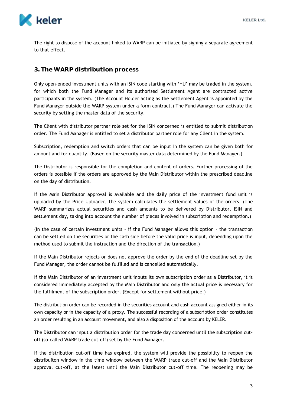

The right to dispose of the account linked to WARP can be initiated by signing a separate agreement to that effect.

# <span id="page-3-0"></span>**3. The WARP distribution process**

Only open-ended investment units with an ISIN code starting with 'HU' may be traded in the system, for which both the Fund Manager and its authorised Settlement Agent are contracted active participants in the system. (The Account Holder acting as the Settlement Agent is appointed by the Fund Manager outside the WARP system under a form contract.) The Fund Manager can activate the security by setting the master data of the security.

The Client with distributor partner role set for the ISIN concerned is entitled to submit distribution order. The Fund Manager is entitled to set a distributor partner role for any Client in the system.

Subscription, redemption and switch orders that can be input in the system can be given both for amount and for quantity. (Based on the security master data determined by the Fund Manager.)

The Distributor is responsible for the completion and content of orders. Further processing of the orders is possible if the orders are approved by the Main Distributor within the prescribed deadline on the day of distribution.

If the Main Distributor approval is available and the daily price of the investment fund unit is uploaded by the Price Uploader, the system calculates the settlement values of the orders. (The WARP summarizes actual securities and cash amounts to be delivered by Distributor, ISIN and settlement day, taking into account the number of pieces involved in subscription and redemption.)

(In the case of certain investment units – if the Fund Manager allows this option – the transaction can be settled on the securities or the cash side before the valid price is input, depending upon the method used to submit the instruction and the direction of the transaction.)

If the Main Distributor rejects or does not approve the order by the end of the deadline set by the Fund Manager, the order cannot be fulfilled and is cancelled automatically.

If the Main Distributor of an investment unit inputs its own subscription order as a Distributor, it is considered immediately accepted by the Main Distributor and only the actual price is necessary for the fulfilment of the subscription order. (Except for settlement without price.)

The distribution order can be recorded in the securities account and cash account assigned either in its own capacity or in the capacity of a proxy. The successful recording of a subscription order constitutes an order resulting in an account movement, and also a disposition of the account by KELER.

The Distributor can input a distribution order for the trade day concerned until the subscription cutoff (so-called WARP trade cut-off) set by the Fund Manager.

If the distribution cut-off time has expired, the system will provide the possibility to reopen the distribuiton window in the time window between the WARP trade cut-off and the Main Distributor approval cut-off, at the latest until the Main Distributor cut-off time. The reopening may be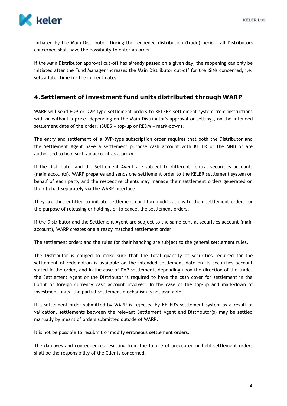

initiated by the Main Distributor. During the reopened distribution (trade) period, all Distributors concerned shall have the possibility to enter an order.

If the Main Distributor approval cut-off has already passed on a given day, the reopening can only be initiated after the Fund Manager increases the Main Distributor cut-off for the ISINs concerned, i.e. sets a later time for the current date.

### <span id="page-4-0"></span>**4.Settlement of investment fund units distributed through WARP**

WARP will send FOP or DVP type settlement orders to KELER's settlement system from instructions with or without a price, depending on the Main Distributor's approval or settings, on the intended settlement date of the order. (SUBS = top-up or REDM = mark-down).

The entry and settlement of a DVP-type subscription order requires that both the Distributor and the Settlement Agent have a settlement purpose cash account with KELER or the MNB or are authorised to hold such an account as a proxy.

If the Distributor and the Settlement Agent are subject to different central securities accounts (main accounts), WARP prepares and sends one settlement order to the KELER settlement system on behalf of each party and the respective clients may manage their settlement orders generated on their behalf separately via the WARP interface.

They are thus entitled to initiate settlement conditon modifications to their settlement orders for the purpose of releasing or holding, or to cancel the settlement orders.

If the Distributor and the Settlement Agent are subject to the same central securities account (main account), WARP creates one already matched settlement order.

The settlement orders and the rules for their handling are subject to the general settlement rules.

The Distributor is obliged to make sure that the total quantity of securities required for the settlement of redemption is available on the intended settlement date on its securities account stated in the order, and in the case of DVP settlement, depending upon the direction of the trade, the Settlement Agent or the Distributor is required to have the cash cover for settlement in the Forint or foreign currency cash account involved. In the case of the top-up and mark-down of investment units, the partial settlement mechanism is not available.

If a settlement order submitted by WARP is rejected by KELER's settlement system as a result of validation, settlements between the relevant Settlement Agent and Distributor(s) may be settled manually by means of orders submitted outside of WARP.

It is not be possible to resubmit or modify erroneous settlement orders.

The damages and consequences resulting from the failure of unsecured or held settlement orders shall be the responsibility of the Clients concerned.